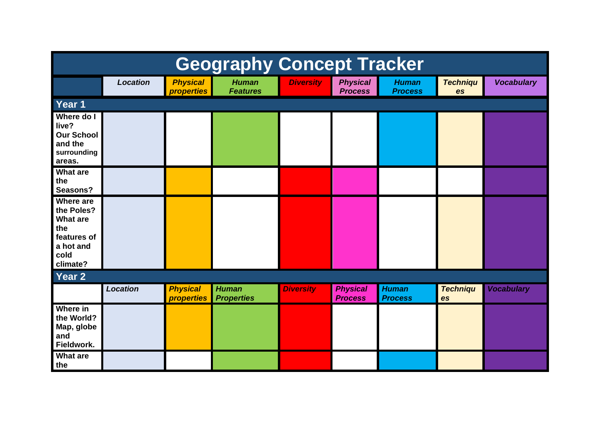| <b>Geography Concept Tracker</b>                                                                         |                 |                                      |                                   |                  |                                   |                                |                       |                   |  |
|----------------------------------------------------------------------------------------------------------|-----------------|--------------------------------------|-----------------------------------|------------------|-----------------------------------|--------------------------------|-----------------------|-------------------|--|
|                                                                                                          | <b>Location</b> | <b>Physical</b><br><b>properties</b> | <b>Human</b><br><b>Features</b>   | <b>Diversity</b> | <b>Physical</b><br><b>Process</b> | <b>Human</b><br><b>Process</b> | <b>Techniqu</b><br>es | <b>Vocabulary</b> |  |
| Year 1                                                                                                   |                 |                                      |                                   |                  |                                   |                                |                       |                   |  |
| Where do I<br>live?<br><b>Our School</b><br>and the<br>surrounding<br>areas.                             |                 |                                      |                                   |                  |                                   |                                |                       |                   |  |
| <b>What are</b><br>the<br>Seasons?                                                                       |                 |                                      |                                   |                  |                                   |                                |                       |                   |  |
| <b>Where are</b><br>the Poles?<br><b>What are</b><br>the<br>features of<br>a hot and<br>cold<br>climate? |                 |                                      |                                   |                  |                                   |                                |                       |                   |  |
| Year 2                                                                                                   |                 |                                      |                                   |                  |                                   |                                |                       |                   |  |
|                                                                                                          | <b>Location</b> | <b>Physical</b><br><b>properties</b> | <b>Human</b><br><b>Properties</b> | <b>Diversity</b> | <b>Physical</b><br><b>Process</b> | <b>Human</b><br><b>Process</b> | <b>Techniqu</b><br>es | <b>Vocabulary</b> |  |
| Where in<br>the World?<br>Map, globe<br>and<br>Fieldwork.                                                |                 |                                      |                                   |                  |                                   |                                |                       |                   |  |
| <b>What are</b><br>the                                                                                   |                 |                                      |                                   |                  |                                   |                                |                       |                   |  |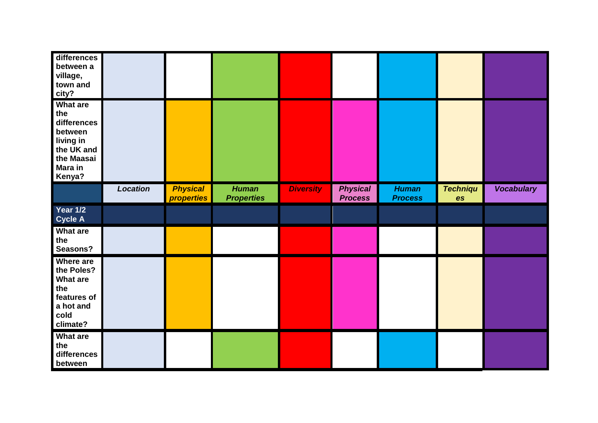| differences<br>between a<br>village,<br>town and<br>city?                                                |                 |                                             |                                   |                  |                                   |                                |                       |                   |
|----------------------------------------------------------------------------------------------------------|-----------------|---------------------------------------------|-----------------------------------|------------------|-----------------------------------|--------------------------------|-----------------------|-------------------|
| What are<br>the<br>differences<br>between<br>living in<br>the UK and<br>the Maasai<br>Mara in<br>Kenya?  |                 |                                             |                                   |                  |                                   |                                |                       |                   |
|                                                                                                          | <b>Location</b> | <b>Physical</b><br><i><b>properties</b></i> | <b>Human</b><br><b>Properties</b> | <b>Diversity</b> | <b>Physical</b><br><b>Process</b> | <b>Human</b><br><b>Process</b> | <b>Techniqu</b><br>es | <b>Vocabulary</b> |
| <b>Year 1/2</b><br><b>Cycle A</b>                                                                        |                 |                                             |                                   |                  |                                   |                                |                       |                   |
| What are<br>the<br>Seasons?                                                                              |                 |                                             |                                   |                  |                                   |                                |                       |                   |
| <b>Where are</b><br>the Poles?<br><b>What are</b><br>the<br>features of<br>a hot and<br>cold<br>climate? |                 |                                             |                                   |                  |                                   |                                |                       |                   |
| What are<br>the<br>differences<br>between                                                                |                 |                                             |                                   |                  |                                   |                                |                       |                   |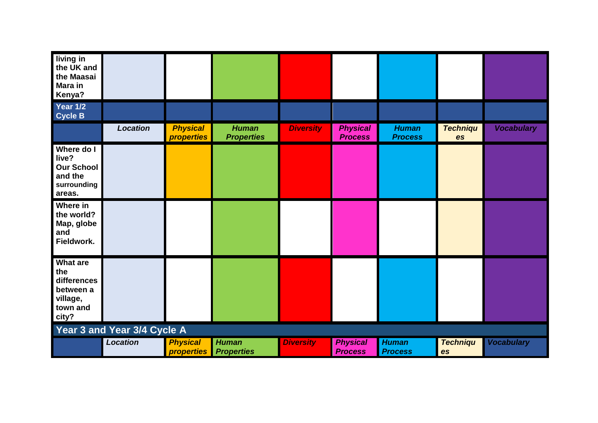| living in<br>the UK and<br>the Maasai<br><b>Mara in</b><br>Kenya?            |                             |                                             |                                   |                  |                                   |                                |                       |                   |
|------------------------------------------------------------------------------|-----------------------------|---------------------------------------------|-----------------------------------|------------------|-----------------------------------|--------------------------------|-----------------------|-------------------|
| Year 1/2<br><b>Cycle B</b>                                                   |                             |                                             |                                   |                  |                                   |                                |                       |                   |
|                                                                              | <b>Location</b>             | <b>Physical</b><br><i><b>properties</b></i> | <b>Human</b><br><b>Properties</b> | <b>Diversity</b> | <b>Physical</b><br><b>Process</b> | <b>Human</b><br><b>Process</b> | <b>Techniqu</b><br>es | <b>Vocabulary</b> |
| Where do I<br>live?<br><b>Our School</b><br>and the<br>surrounding<br>areas. |                             |                                             |                                   |                  |                                   |                                |                       |                   |
| Where in<br>the world?<br>Map, globe<br>and<br>Fieldwork.                    |                             |                                             |                                   |                  |                                   |                                |                       |                   |
| What are<br>the<br>differences<br>between a<br>village,<br>town and<br>city? |                             |                                             |                                   |                  |                                   |                                |                       |                   |
|                                                                              | Year 3 and Year 3/4 Cycle A |                                             |                                   |                  |                                   |                                |                       |                   |
|                                                                              | <b>Location</b>             | <b>Physical</b><br><b>properties</b>        | <b>Human</b><br><b>Properties</b> | <b>Diversity</b> | <b>Physical</b><br><b>Process</b> | <b>Human</b><br><b>Process</b> | <b>Techniqu</b><br>es | <b>Vocabulary</b> |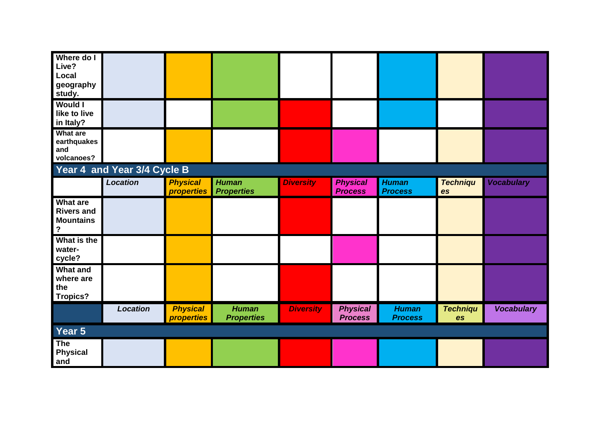| Where do I<br>Live?<br>Local<br>geography<br>study.                                   |                             |                                             |                                   |                  |                                   |                                |                              |                   |
|---------------------------------------------------------------------------------------|-----------------------------|---------------------------------------------|-----------------------------------|------------------|-----------------------------------|--------------------------------|------------------------------|-------------------|
| <b>Would I</b><br>like to live<br>in Italy?                                           |                             |                                             |                                   |                  |                                   |                                |                              |                   |
| <b>What are</b><br>earthquakes<br>and<br>volcanoes?                                   |                             |                                             |                                   |                  |                                   |                                |                              |                   |
|                                                                                       | Year 4 and Year 3/4 Cycle B |                                             |                                   |                  |                                   |                                |                              |                   |
|                                                                                       | <b>Location</b>             | <b>Physical</b><br><i><b>properties</b></i> | <b>Human</b><br><b>Properties</b> | <b>Diversity</b> | <b>Physical</b><br><b>Process</b> | <b>Human</b><br><b>Process</b> | <b>Techniqu</b><br>es        | <b>Vocabulary</b> |
| <b>What are</b><br><b>Rivers and</b><br><b>Mountains</b><br>$\boldsymbol{\mathsf{?}}$ |                             |                                             |                                   |                  |                                   |                                |                              |                   |
| What is the<br>water-<br>cycle?                                                       |                             |                                             |                                   |                  |                                   |                                |                              |                   |
| <b>What and</b><br>where are<br>the<br><b>Tropics?</b>                                |                             |                                             |                                   |                  |                                   |                                |                              |                   |
|                                                                                       | <b>Location</b>             | <b>Physical</b><br><b>properties</b>        | <b>Human</b><br><b>Properties</b> | <b>Diversity</b> | <b>Physical</b><br><b>Process</b> | <b>Human</b><br><b>Process</b> | <b>Techniqu</b><br><b>es</b> | <b>Vocabulary</b> |
| Year 5                                                                                |                             |                                             |                                   |                  |                                   |                                |                              |                   |
| The<br><b>Physical</b><br>and                                                         |                             |                                             |                                   |                  |                                   |                                |                              |                   |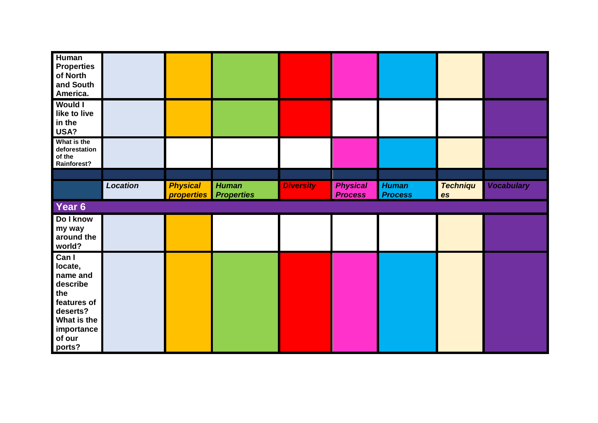| <b>Human</b><br><b>Properties</b><br>of North<br>and South<br>America. |                 |                                             |                                   |                  |                                   |                                |                       |                   |
|------------------------------------------------------------------------|-----------------|---------------------------------------------|-----------------------------------|------------------|-----------------------------------|--------------------------------|-----------------------|-------------------|
| <b>Would I</b><br>like to live<br>in the<br>USA?                       |                 |                                             |                                   |                  |                                   |                                |                       |                   |
| What is the<br>deforestation<br>of the<br>Rainforest?                  |                 |                                             |                                   |                  |                                   |                                |                       |                   |
|                                                                        |                 |                                             |                                   |                  |                                   |                                |                       |                   |
|                                                                        | <b>Location</b> | <b>Physical</b><br><i><b>properties</b></i> | <b>Human</b><br><b>Properties</b> | <b>Diversity</b> | <b>Physical</b><br><b>Process</b> | <b>Human</b><br><b>Process</b> | <b>Techniqu</b><br>es | <b>Vocabulary</b> |
| Year 6                                                                 |                 |                                             |                                   |                  |                                   |                                |                       |                   |
|                                                                        |                 |                                             |                                   |                  |                                   |                                |                       |                   |
| Do I know<br>my way<br>around the<br>world?                            |                 |                                             |                                   |                  |                                   |                                |                       |                   |